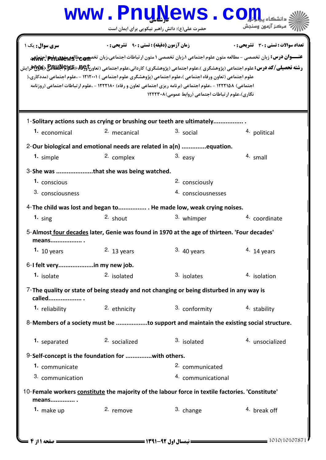## حضرت علي(ع): دانش راهبر نيكويي براي ايمان است www.Pnu<u>N</u>ews.com **عنــــوان درس:** زبان تخصصي - مطالعه متون علوم اجتماعي ۱،زبان تخصصي ۱ متون ارتباطات اجتماعي،زبان تخص**هيج عطالعهكغو الجند المجار**جي.<br>عنــــو**ان درس:** زبان تخصصي - مطالعه متون علوم اجتماعي ۱،زبان تخصصي ۱ متون ارتباطات اجتما ر**شته تحصیلی/کد درس:** علوم اجتماعی (پژوهشگری )،علوم اجتماعی (پژوهشگری) کاردانی،علوم اجتماعی (تعاون**خ BMUA BB و Wy**<br>د نعداد سوالات : تستي : 30 - تشريحي : . زمان آزمون (دقيقه) : تستي : 90 - تشريحي : 0 - ، صبح سري سوال : يك 1 علوم اجتماعی (تعاون ورفاه اجتماعی )،علوم اجتماعی (پژوهشگری علوم اجتماعی ) ۱۲۱۲۰۱ - ،علوم اجتماعی (مددکاری،( 'جتماعي) ۱۲۲۲۱۵۸ - ،علوم اجتماعي (برنامه ريزي اجتماعي تعاون و رفاه) ۱۲۲۲۱۸۰ - ،علوم ارتباطات اجتماعي (روزنامه نگاری)،علوم ارتباطات اجتماعی (روابط عمومی)۱۲۲۲۳۰۸ 1-Solitary actions such as crying or brushing our teeth are ultimately................. **1.** economical and the conomical contract of the conomical contract  $\alpha$  and  $\alpha$  are animal contract of the extending of the extending of the extending of the extending of the extending of the extending of the extending 2-Our biological and emotional needs are related in a(n) ..............equation. **1.** simple  $\begin{array}{ccc} \text{2. complex} & \text{3. easy} & \text{4. small} \end{array}$ 3-She was ....................that she was being watched. 2. consciously 4. consciousnesses 1. conscious 3. consciousness 4-The child was lost and began to................. . He made low, weak crying noises. 1.  $\sin\theta$  shout 2.  $\sin\theta$  shout 3. whimper 4. coordinate <sup>3.</sup> whimper 5-Almost four decades later, Genie was found in 1970 at the age of thirteen. 'Four decades' means.................. . **1.** 10 years **11 12 Solution 13 years** 13 years **13 years** 14 years **14** years 6-I felt very....................in my new job. isolate isolated isolated isolates isolates and the set of the set of the set of the isolation **1.** isolate **1.** isolated **2.** isolated **2.** 3. isolates **4.** isolation 7-The quality or state of being steady and not changing or being disturbed in any way is called................... . 1. reliability and the context of the conformity of the stability of the stability of the conformity of the stability 8-Members of a society must be ..................to support and maintain the existing social structure. 1. separated 2. socialized 3. isolated 4. unsocialized 2. socialized 9-Self-concept is the foundation for ...............with others. 2. communicated 4. communicational **1.** communicate 3. communication 10- Female workers constitute the majority of the labour force in textile factories. 'Constitute'

means.............. . 1. make up  $2.$  remove  $3.$  change  $4.$  break off 2. remove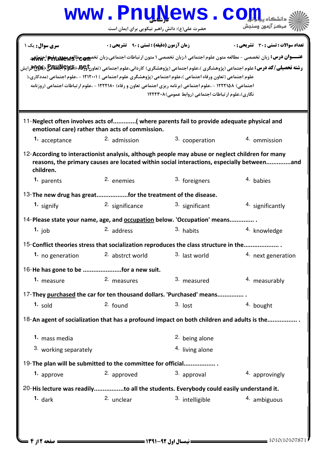| www.PnuNews.c                                                                                                                                                                                                                                                                                                                                                                                                                                                                                                                                                                                                                                                                                      |                                                                                                                                                                      |                            |                    |  |  |  |
|----------------------------------------------------------------------------------------------------------------------------------------------------------------------------------------------------------------------------------------------------------------------------------------------------------------------------------------------------------------------------------------------------------------------------------------------------------------------------------------------------------------------------------------------------------------------------------------------------------------------------------------------------------------------------------------------------|----------------------------------------------------------------------------------------------------------------------------------------------------------------------|----------------------------|--------------------|--|--|--|
|                                                                                                                                                                                                                                                                                                                                                                                                                                                                                                                                                                                                                                                                                                    | حضرت علی(ع): دانش راهبر نیکویی برای ایمان است                                                                                                                        |                            | مركز آزمون وسنجش   |  |  |  |
| <b>زمان آزمون (دقیقه) : تستی : ۹۰٪ تشریحی : 0</b><br>تعداد سوالات : تستي : 30 - تشريحي : 0<br>سری سوال: یک ۱<br>عنـــوان درس: زبان تخصصی - مطالعه متون علوم اجتماعی ۱،زبان تخصصی ۱ متون ارتباطات اجتماعی،زبان تخصص عطالعه علیه علوم اجتماعی<br><b>رشته تحصیلی/کد درس:</b> علوم اجتماعی (پژوهشگری )،علوم اجتماعی (پژوهشگری) کاردانی،علوم اجتماعی (تعاون۹ <b>۴۹۶۷ قلاط الله التاله</b> ع ( <b>Byly) آر</b> ایش<br>علوم اجتماعی (تعاون ورفاه اجتماعی )،علوم اجتماعی (پژوهشگری علوم اجتماعی ) (۱۲۱۲۰۱ - ،علوم اجتماعی (مددکاری،(<br>اجتماعی) ۱۲۲۲۱۵۸ - ،علوم اجتماعی (برنامه ریزی اجتماعی تعاون و رفاه) ۱۲۲۲۱۸۰ - ،علوم ارتباطات اجتماعی (روزنامه<br>نگاری)،علوم ارتباطات اجتماعی (روابط عمومی)۱۲۲۲۳۰۸ |                                                                                                                                                                      |                            |                    |  |  |  |
| 1. acceptance                                                                                                                                                                                                                                                                                                                                                                                                                                                                                                                                                                                                                                                                                      | 11-Neglect often involves acts of( where parents fail to provide adequate physical and<br>emotional care) rather than acts of commission.<br><sup>2.</sup> admission | 3. cooperation             | 4. ommission       |  |  |  |
| 12-According to interactionist analysis, although people may abuse or neglect children for many<br>reasons, the primary causes are located within social interactions, especially betweenand<br>children.                                                                                                                                                                                                                                                                                                                                                                                                                                                                                          |                                                                                                                                                                      |                            |                    |  |  |  |
| 1. parents                                                                                                                                                                                                                                                                                                                                                                                                                                                                                                                                                                                                                                                                                         | 2. enemies                                                                                                                                                           | 3. foreigners              | 4. babies          |  |  |  |
|                                                                                                                                                                                                                                                                                                                                                                                                                                                                                                                                                                                                                                                                                                    | 13- The new drug has greatfor the treatment of the disease.                                                                                                          |                            |                    |  |  |  |
| 1. signify                                                                                                                                                                                                                                                                                                                                                                                                                                                                                                                                                                                                                                                                                         | 2. significance                                                                                                                                                      | 3. significant             | 4. significantly   |  |  |  |
| 14-Please state your name, age, and occupation below. 'Occupation' means                                                                                                                                                                                                                                                                                                                                                                                                                                                                                                                                                                                                                           |                                                                                                                                                                      |                            |                    |  |  |  |
| 1. job                                                                                                                                                                                                                                                                                                                                                                                                                                                                                                                                                                                                                                                                                             | $2.$ address                                                                                                                                                         | 3. habits                  | 4. knowledge       |  |  |  |
| 15-Conflict theories stress that socialization reproduces the class structure in the                                                                                                                                                                                                                                                                                                                                                                                                                                                                                                                                                                                                               |                                                                                                                                                                      |                            |                    |  |  |  |
| 1. no generation                                                                                                                                                                                                                                                                                                                                                                                                                                                                                                                                                                                                                                                                                   | 2. abstrct world                                                                                                                                                     | 3. last world              | 4. next generation |  |  |  |
| 16-He has gone to be for a new suit.                                                                                                                                                                                                                                                                                                                                                                                                                                                                                                                                                                                                                                                               |                                                                                                                                                                      |                            |                    |  |  |  |
| 1. measure                                                                                                                                                                                                                                                                                                                                                                                                                                                                                                                                                                                                                                                                                         | 2. measures                                                                                                                                                          | 3. measured                | 4. measurably      |  |  |  |
|                                                                                                                                                                                                                                                                                                                                                                                                                                                                                                                                                                                                                                                                                                    | 17-They purchased the car for ten thousand dollars. 'Purchased' means                                                                                                |                            |                    |  |  |  |
| $1.$ sold                                                                                                                                                                                                                                                                                                                                                                                                                                                                                                                                                                                                                                                                                          | $2.$ found                                                                                                                                                           | $3.$ lost                  | 4. bought          |  |  |  |
| 18-An agent of socialization that has a profound impact on both children and adults is the                                                                                                                                                                                                                                                                                                                                                                                                                                                                                                                                                                                                         |                                                                                                                                                                      |                            |                    |  |  |  |
| 1. mass media                                                                                                                                                                                                                                                                                                                                                                                                                                                                                                                                                                                                                                                                                      |                                                                                                                                                                      | <sup>2.</sup> being alone  |                    |  |  |  |
| 3. working separately                                                                                                                                                                                                                                                                                                                                                                                                                                                                                                                                                                                                                                                                              |                                                                                                                                                                      | <sup>4.</sup> living alone |                    |  |  |  |
|                                                                                                                                                                                                                                                                                                                                                                                                                                                                                                                                                                                                                                                                                                    | 19-The plan will be submitted to the committee for official                                                                                                          |                            |                    |  |  |  |
| 1. approve                                                                                                                                                                                                                                                                                                                                                                                                                                                                                                                                                                                                                                                                                         | 2. approved                                                                                                                                                          | 3. approval                | 4. approvingly     |  |  |  |
|                                                                                                                                                                                                                                                                                                                                                                                                                                                                                                                                                                                                                                                                                                    | 20-His lecture was readilyto all the students. Everybody could easily understand it.                                                                                 |                            |                    |  |  |  |
| $1.$ dark                                                                                                                                                                                                                                                                                                                                                                                                                                                                                                                                                                                                                                                                                          | 2. unclear                                                                                                                                                           | 3. intelligible            | 4. ambiguous       |  |  |  |
|                                                                                                                                                                                                                                                                                                                                                                                                                                                                                                                                                                                                                                                                                                    |                                                                                                                                                                      |                            |                    |  |  |  |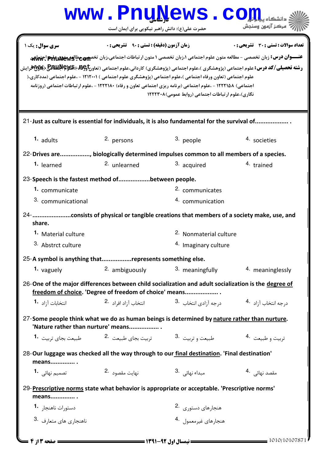|                                                                                                                                                                                                                                               |                                                                                 | www.PnuNews.co                                                                                                                                                     |                                                                                                                       |  |  |
|-----------------------------------------------------------------------------------------------------------------------------------------------------------------------------------------------------------------------------------------------|---------------------------------------------------------------------------------|--------------------------------------------------------------------------------------------------------------------------------------------------------------------|-----------------------------------------------------------------------------------------------------------------------|--|--|
|                                                                                                                                                                                                                                               | حضرت علی(ع): دانش راهبر نیکویی برای ایمان است                                   |                                                                                                                                                                    | مركز آزمون وسنجش                                                                                                      |  |  |
| سری سوال: یک ۱                                                                                                                                                                                                                                | زمان آزمون (دقیقه) : تستی : 90 ٪ تشریحی : 0                                     |                                                                                                                                                                    | تعداد سوالات : تستي : 30 - تشريحي : 0                                                                                 |  |  |
| <b>رشته تحصیلی/کد درس:</b> علوم اجتماعی (پژوهشگری )،علوم اجتماعی (پژوهشگری) کاردانی،علوم اجتماعی (تعاونجهها)\$#BMB (%MGلي(%M)<br>علوم اجتماعی (تعاون ورفاه اجتماعی )،علوم اجتماعی (پژوهشگری علوم اجتماعی ) (۱۲۱۲۰۱ - ،علوم اجتماعی (مددکاری،( |                                                                                 | اجتماعی) ۱۲۲۲۱۵۸ - ،علوم اجتماعی (برنامه ریزی اجتماعی تعاون و رفاه) ۱۲۲۲۱۸۰ - ،علوم ارتباطات اجتماعی (روزنامه<br>نگاری)،علوم ارتباطات اجتماعی (روابط عمومی)۱۲۲۲۳۰۸ | عنـــوان درس: زبان تخصصی - مطالعه متون علوم اجتماعی ۱،زبان تخصصی ۱ متون ارتباطات اجتماعی،زبان تخصص عطالعه علی اجتماعی |  |  |
| 21-Just as culture is essential for individuals, it is also fundamental for the survival of                                                                                                                                                   |                                                                                 |                                                                                                                                                                    |                                                                                                                       |  |  |
| $1.$ adults                                                                                                                                                                                                                                   | 2. persons                                                                      | 3. people                                                                                                                                                          | <sup>4.</sup> societies                                                                                               |  |  |
| 22-Drives are, biologically determined impulses common to all members of a species.                                                                                                                                                           |                                                                                 |                                                                                                                                                                    |                                                                                                                       |  |  |
| 1. learned                                                                                                                                                                                                                                    | <sup>2.</sup> unlearned                                                         | 3. acquired                                                                                                                                                        | 4. trained                                                                                                            |  |  |
| 23-Speech is the fastest method ofbetween people.                                                                                                                                                                                             |                                                                                 |                                                                                                                                                                    |                                                                                                                       |  |  |
| 1. communicate                                                                                                                                                                                                                                |                                                                                 | 2. communicates                                                                                                                                                    |                                                                                                                       |  |  |
| 3. communicational                                                                                                                                                                                                                            |                                                                                 | 4. communication                                                                                                                                                   |                                                                                                                       |  |  |
| 24- consists of physical or tangible creations that members of a society make, use, and<br>share.                                                                                                                                             |                                                                                 |                                                                                                                                                                    |                                                                                                                       |  |  |
| <sup>1.</sup> Material culture                                                                                                                                                                                                                |                                                                                 | 2. Nonmaterial culture                                                                                                                                             |                                                                                                                       |  |  |
| 3. Abstrct culture                                                                                                                                                                                                                            |                                                                                 | <sup>4.</sup> Imaginary culture                                                                                                                                    |                                                                                                                       |  |  |
| 25-A symbol is anything thatrepresents something else.                                                                                                                                                                                        |                                                                                 |                                                                                                                                                                    |                                                                                                                       |  |  |
| 1. vaguely                                                                                                                                                                                                                                    | 2. ambiguously                                                                  | 3. meaningfully                                                                                                                                                    | 4. meaninglessly                                                                                                      |  |  |
| 26-One of the major differences between child socialization and adult socialization is the degree of<br>freedom of choice. 'Degree of freedom of choice' means                                                                                |                                                                                 |                                                                                                                                                                    |                                                                                                                       |  |  |
| انتخابات آ;اد <b>1</b> ۰                                                                                                                                                                                                                      |                                                                                 | درجه انتخاب آزاد <sup>.4</sup> درجه آزادی انتخاب .3                     انتخاب آزاد افراد <sup>.2</sup>                                                            |                                                                                                                       |  |  |
| 27-Some people think what we do as human beings is determined by nature rather than nurture.<br>'Nature rather than nurture' means                                                                                                            |                                                                                 |                                                                                                                                                                    |                                                                                                                       |  |  |
|                                                                                                                                                                                                                                               | طبیعت و تربیت <sup>.3</sup> تربیت بجای طبیعت . <sup>2</sup> طبیعت بجای تربیت .1 |                                                                                                                                                                    | تربيت و طبيعت 4.                                                                                                      |  |  |
| 28-Our luggage was checked all the way through to our final destination. 'Final destination'<br>means                                                                                                                                         |                                                                                 |                                                                                                                                                                    |                                                                                                                       |  |  |
| تصمیم نهائی <b>1</b> ۰                                                                                                                                                                                                                        | نهایت مقصود 2.                                                                  | مبداء نهائی . 3                                                                                                                                                    | مقصد نهائی . 4                                                                                                        |  |  |
| 29-Prescriptive norms state what behavior is appropriate or acceptable. 'Prescriptive norms'<br>means                                                                                                                                         |                                                                                 |                                                                                                                                                                    |                                                                                                                       |  |  |
| دستورات ناهنجا, 1.                                                                                                                                                                                                                            |                                                                                 | هنجارهای دستوری 2.                                                                                                                                                 |                                                                                                                       |  |  |
| ناهنجاری های متعارف .3                                                                                                                                                                                                                        |                                                                                 | هنجارهای غیرمعمول 4.                                                                                                                                               |                                                                                                                       |  |  |